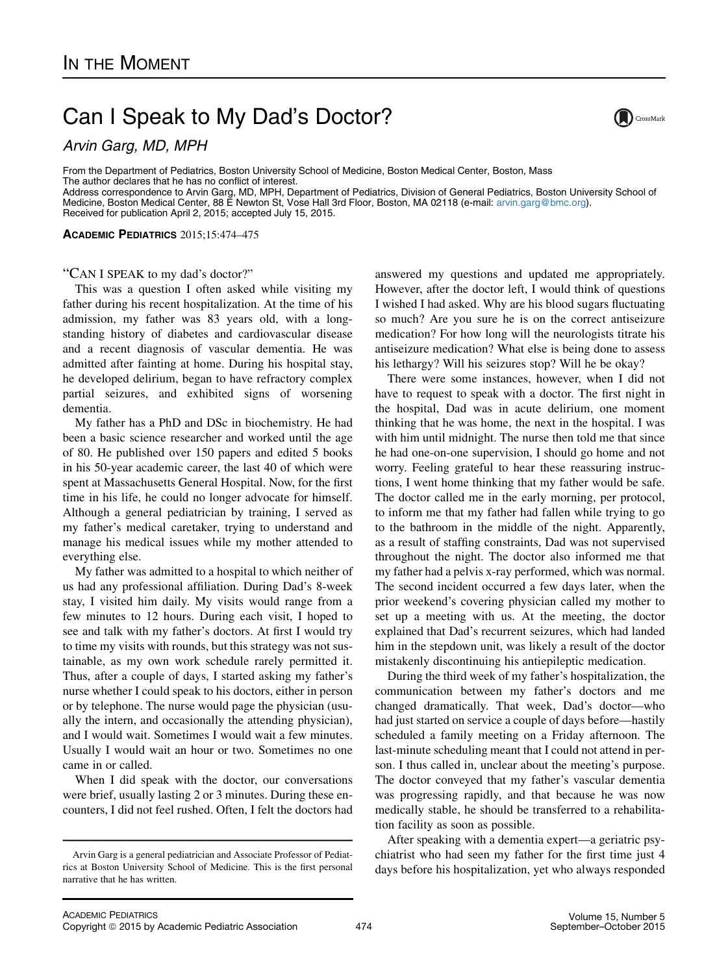## Can I Speak to My Dad's Doctor?



Arvin Garg, MD, MPH

From the Department of Pediatrics, Boston University School of Medicine, Boston Medical Center, Boston, Mass The author declares that he has no conflict of interest. Address correspondence to Arvin Garg, MD, MPH, Department of Pediatrics, Division of General Pediatrics, Boston University School of Medicine, Boston Medical Center, 88 E Newton St, Vose Hall 3rd Floor, Boston, MA 02118 (e-mail: [arvin.garg@bmc.org\)](mailto:arvin.garg@bmc.org).

Received for publication April 2, 2015; accepted July 15, 2015.

ACADEMIC PEDIATRICS 2015;15:474–475

## "CAN I SPEAK to my dad's doctor?"

This was a question I often asked while visiting my father during his recent hospitalization. At the time of his admission, my father was 83 years old, with a longstanding history of diabetes and cardiovascular disease and a recent diagnosis of vascular dementia. He was admitted after fainting at home. During his hospital stay, he developed delirium, began to have refractory complex partial seizures, and exhibited signs of worsening dementia.

My father has a PhD and DSc in biochemistry. He had been a basic science researcher and worked until the age of 80. He published over 150 papers and edited 5 books in his 50-year academic career, the last 40 of which were spent at Massachusetts General Hospital. Now, for the first time in his life, he could no longer advocate for himself. Although a general pediatrician by training, I served as my father's medical caretaker, trying to understand and manage his medical issues while my mother attended to everything else.

My father was admitted to a hospital to which neither of us had any professional affiliation. During Dad's 8-week stay, I visited him daily. My visits would range from a few minutes to 12 hours. During each visit, I hoped to see and talk with my father's doctors. At first I would try to time my visits with rounds, but this strategy was not sustainable, as my own work schedule rarely permitted it. Thus, after a couple of days, I started asking my father's nurse whether I could speak to his doctors, either in person or by telephone. The nurse would page the physician (usually the intern, and occasionally the attending physician), and I would wait. Sometimes I would wait a few minutes. Usually I would wait an hour or two. Sometimes no one came in or called.

When I did speak with the doctor, our conversations were brief, usually lasting 2 or 3 minutes. During these encounters, I did not feel rushed. Often, I felt the doctors had

answered my questions and updated me appropriately. However, after the doctor left, I would think of questions I wished I had asked. Why are his blood sugars fluctuating so much? Are you sure he is on the correct antiseizure medication? For how long will the neurologists titrate his antiseizure medication? What else is being done to assess his lethargy? Will his seizures stop? Will he be okay?

There were some instances, however, when I did not have to request to speak with a doctor. The first night in the hospital, Dad was in acute delirium, one moment thinking that he was home, the next in the hospital. I was with him until midnight. The nurse then told me that since he had one-on-one supervision, I should go home and not worry. Feeling grateful to hear these reassuring instructions, I went home thinking that my father would be safe. The doctor called me in the early morning, per protocol, to inform me that my father had fallen while trying to go to the bathroom in the middle of the night. Apparently, as a result of staffing constraints, Dad was not supervised throughout the night. The doctor also informed me that my father had a pelvis x-ray performed, which was normal. The second incident occurred a few days later, when the prior weekend's covering physician called my mother to set up a meeting with us. At the meeting, the doctor explained that Dad's recurrent seizures, which had landed him in the stepdown unit, was likely a result of the doctor mistakenly discontinuing his antiepileptic medication.

During the third week of my father's hospitalization, the communication between my father's doctors and me changed dramatically. That week, Dad's doctor—who had just started on service a couple of days before—hastily scheduled a family meeting on a Friday afternoon. The last-minute scheduling meant that I could not attend in person. I thus called in, unclear about the meeting's purpose. The doctor conveyed that my father's vascular dementia was progressing rapidly, and that because he was now medically stable, he should be transferred to a rehabilitation facility as soon as possible.

After speaking with a dementia expert—a geriatric psychiatrist who had seen my father for the first time just 4 days before his hospitalization, yet who always responded

Arvin Garg is a general pediatrician and Associate Professor of Pediatrics at Boston University School of Medicine. This is the first personal narrative that he has written.